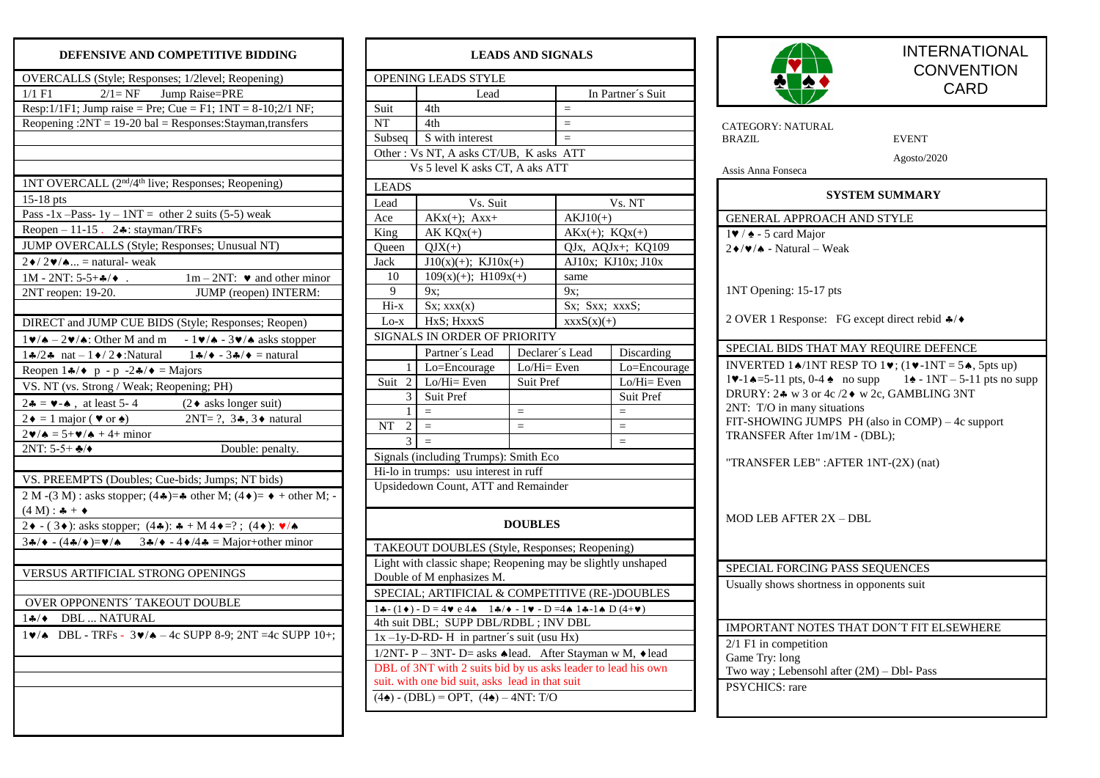## **DEFENSIVE AND COMPETITIVE BIDDING**

| <b>LEADS AND SIGNALS</b>                                                                                                                                                              |                                                               |                 |                   |                    |  |  |  |  |  |
|---------------------------------------------------------------------------------------------------------------------------------------------------------------------------------------|---------------------------------------------------------------|-----------------|-------------------|--------------------|--|--|--|--|--|
| OPENING LEADS STYLE                                                                                                                                                                   |                                                               |                 |                   |                    |  |  |  |  |  |
|                                                                                                                                                                                       | Lead                                                          |                 | In Partner's Suit |                    |  |  |  |  |  |
| Suit                                                                                                                                                                                  | 4th                                                           |                 | $=$               |                    |  |  |  |  |  |
| NT                                                                                                                                                                                    | 4th                                                           |                 | $\equiv$          |                    |  |  |  |  |  |
| Subseq                                                                                                                                                                                | S with interest                                               |                 | $=$               |                    |  |  |  |  |  |
| Other: Vs NT, A asks CT/UB, K asks ATT                                                                                                                                                |                                                               |                 |                   |                    |  |  |  |  |  |
| Vs 5 level K asks CT, A aks ATT                                                                                                                                                       |                                                               |                 |                   |                    |  |  |  |  |  |
| <b>LEADS</b>                                                                                                                                                                          |                                                               |                 |                   |                    |  |  |  |  |  |
| Lead                                                                                                                                                                                  | Vs. Suit                                                      |                 | Vs. NT            |                    |  |  |  |  |  |
| Ace                                                                                                                                                                                   | $AKx(+); Axx+$                                                |                 | $AKJ10(+)$        |                    |  |  |  |  |  |
| King                                                                                                                                                                                  | $AK KQX(+)$                                                   |                 | $AKx(+); KQx(+)$  |                    |  |  |  |  |  |
| Queen                                                                                                                                                                                 | $QJX(+)$                                                      |                 | QJx, AQJx+; KQ109 |                    |  |  |  |  |  |
| Jack                                                                                                                                                                                  | $J10(x)(+)$ ; KJ $10x(+)$                                     |                 |                   | AJ10x; KJ10x; J10x |  |  |  |  |  |
| 10                                                                                                                                                                                    | $109(x)(+);$ $H109x(+)$                                       |                 | same              |                    |  |  |  |  |  |
| 9                                                                                                                                                                                     | 9x;                                                           |                 | 9x:               |                    |  |  |  |  |  |
| $Hi-x$                                                                                                                                                                                | $Sx;$ xxx $(x)$                                               |                 | Sx: Sxx: xxxS:    |                    |  |  |  |  |  |
| $Lo-x$                                                                                                                                                                                | HxS; HxxxS                                                    |                 | $xxxxS(x)(+)$     |                    |  |  |  |  |  |
|                                                                                                                                                                                       | SIGNALS IN ORDER OF PRIORITY                                  |                 |                   |                    |  |  |  |  |  |
|                                                                                                                                                                                       | Partner's Lead                                                | Declarer's Lead | Discarding        |                    |  |  |  |  |  |
| 1                                                                                                                                                                                     | Lo=Encourage                                                  | Lo/Hi= Even     | Lo=Encourage      |                    |  |  |  |  |  |
| Suit<br>2                                                                                                                                                                             | Lo/Hi= Even                                                   | Suit Pref       | $Lo/Hi=Even$      |                    |  |  |  |  |  |
| 3                                                                                                                                                                                     | Suit Pref                                                     |                 |                   | Suit Pref          |  |  |  |  |  |
| 1                                                                                                                                                                                     | $=$                                                           | $=$             |                   | $=$                |  |  |  |  |  |
| NT<br>2                                                                                                                                                                               | $\equiv$                                                      | $=$             |                   | $=$                |  |  |  |  |  |
| 3                                                                                                                                                                                     |                                                               |                 |                   |                    |  |  |  |  |  |
|                                                                                                                                                                                       | Signals (including Trumps): Smith Eco                         |                 |                   |                    |  |  |  |  |  |
|                                                                                                                                                                                       | Hi-lo in trumps: usu interest in ruff                         |                 |                   |                    |  |  |  |  |  |
| Upsidedown Count, ATT and Remainder                                                                                                                                                   |                                                               |                 |                   |                    |  |  |  |  |  |
| <b>DOUBLES</b>                                                                                                                                                                        |                                                               |                 |                   |                    |  |  |  |  |  |
| TAKEOUT DOUBLES (Style, Responses; Reopening)                                                                                                                                         |                                                               |                 |                   |                    |  |  |  |  |  |
| Light with classic shape; Reopening may be slightly unshaped                                                                                                                          |                                                               |                 |                   |                    |  |  |  |  |  |
| Double of M enphasizes M.                                                                                                                                                             |                                                               |                 |                   |                    |  |  |  |  |  |
| SPECIAL; ARTIFICIAL & COMPETITIVE (RE-)DOUBLES                                                                                                                                        |                                                               |                 |                   |                    |  |  |  |  |  |
| $1\clubsuit$ - (1 $\bullet$ ) - D = 4 $\bullet$ e 4 $\bullet$ _ 1 $\clubsuit$ / $\bullet$ - 1 $\bullet$ - D = 4 $\bullet$ 1 $\clubsuit$ - 1 $\spadesuit$ D (4+ $\blacktriangledown$ ) |                                                               |                 |                   |                    |  |  |  |  |  |
| 4th suit DBL; SUPP DBL/RDBL; INV DBL                                                                                                                                                  |                                                               |                 |                   |                    |  |  |  |  |  |
| $1x - 1y - D - RD - H$ in partner's suit (usu Hx)                                                                                                                                     |                                                               |                 |                   |                    |  |  |  |  |  |
| 1/2NT- P - 3NT- D= asks ◆ lead. After Stayman w M, ◆ lead                                                                                                                             |                                                               |                 |                   |                    |  |  |  |  |  |
|                                                                                                                                                                                       | DBL of 3NT with 2 suits bid by us asks leader to lead his own |                 |                   |                    |  |  |  |  |  |
|                                                                                                                                                                                       | suit. with one bid suit, asks lead in that suit               |                 |                   |                    |  |  |  |  |  |
| $(4\spadesuit)$ - (DBL) = OPT, $(4\spadesuit)$ – 4NT: T/O                                                                                                                             |                                                               |                 |                   |                    |  |  |  |  |  |



INTERNATIONAL **CONVENTION CARD** 

| CATEGORY: NATURAL<br>BRAZIL                                         | <b>EVENT</b>                                                                                                                     |  |  |  |  |  |
|---------------------------------------------------------------------|----------------------------------------------------------------------------------------------------------------------------------|--|--|--|--|--|
|                                                                     |                                                                                                                                  |  |  |  |  |  |
| Assis Anna Fonseca                                                  | Agosto/2020                                                                                                                      |  |  |  |  |  |
| SYSTEM SUMMARY                                                      |                                                                                                                                  |  |  |  |  |  |
| GENERAL APPROACH AND STYLE                                          |                                                                                                                                  |  |  |  |  |  |
| $1\blacktriangleright$ / $\blacktriangle$ - 5 card Major            |                                                                                                                                  |  |  |  |  |  |
| $2\blacklozenge/\blacktriangledown/\blacktriangle$ - Natural – Weak |                                                                                                                                  |  |  |  |  |  |
|                                                                     |                                                                                                                                  |  |  |  |  |  |
| 1NT Opening: 15-17 pts                                              |                                                                                                                                  |  |  |  |  |  |
|                                                                     |                                                                                                                                  |  |  |  |  |  |
| 2 OVER 1 Response: FG except direct rebid $\clubsuit/\blacklozenge$ |                                                                                                                                  |  |  |  |  |  |
| SPECIAL BIDS THAT MAY REQUIRE DEFENCE                               |                                                                                                                                  |  |  |  |  |  |
|                                                                     | INVERTED 14/1NT RESP TO 1 $\blacktriangledown$ ; (1 $\blacktriangledown$ -1NT = 54, 5pts up)                                     |  |  |  |  |  |
|                                                                     | $1\blacktriangleright -1 \blacktriangle = 5 - 11$ pts, 0-4 $\blacktriangle$ no supp $1\blacktriangle = 1NT - 5 - 11$ pts no supp |  |  |  |  |  |
| DRURY: 24 w 3 or 4c /2♦ w 2c, GAMBLING 3NT                          |                                                                                                                                  |  |  |  |  |  |
| 2NT: T/O in many situations                                         |                                                                                                                                  |  |  |  |  |  |
| FIT-SHOWING JUMPS PH (also in COMP) – 4c support                    |                                                                                                                                  |  |  |  |  |  |
| TRANSFER After 1m/1M - (DBL);                                       |                                                                                                                                  |  |  |  |  |  |
| "TRANSFER LEB" : AFTER 1NT-(2X) (nat)                               |                                                                                                                                  |  |  |  |  |  |
|                                                                     |                                                                                                                                  |  |  |  |  |  |
|                                                                     |                                                                                                                                  |  |  |  |  |  |
|                                                                     |                                                                                                                                  |  |  |  |  |  |
| <b>MOD LEB AFTER 2X - DBL</b>                                       |                                                                                                                                  |  |  |  |  |  |
|                                                                     |                                                                                                                                  |  |  |  |  |  |
| SPECIAL FORCING PASS SEQUENCES                                      |                                                                                                                                  |  |  |  |  |  |
| Usually shows shortness in opponents suit                           |                                                                                                                                  |  |  |  |  |  |
|                                                                     |                                                                                                                                  |  |  |  |  |  |
|                                                                     |                                                                                                                                  |  |  |  |  |  |
| IMPORTANT NOTES THAT DON'T FIT ELSEWHERE                            |                                                                                                                                  |  |  |  |  |  |
| 2/1 F1 in competition                                               |                                                                                                                                  |  |  |  |  |  |
| Game Try: long                                                      |                                                                                                                                  |  |  |  |  |  |
| Two way ; Lebensohl after (2M) - Dbl- Pass<br>PSYCHICS: rare        |                                                                                                                                  |  |  |  |  |  |
|                                                                     |                                                                                                                                  |  |  |  |  |  |
|                                                                     |                                                                                                                                  |  |  |  |  |  |